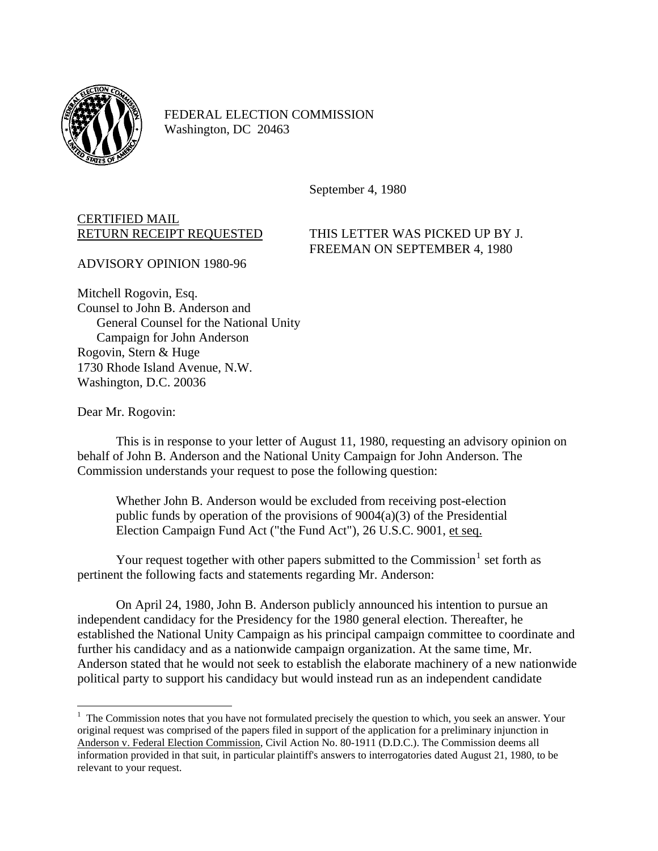

FEDERAL ELECTION COMMISSION Washington, DC 20463

September 4, 1980

## CERTIFIED MAIL

RETURN RECEIPT REQUESTED THIS LETTER WAS PICKED UP BY J. FREEMAN ON SEPTEMBER 4, 1980

ADVISORY OPINION 1980-96

Mitchell Rogovin, Esq. Counsel to John B. Anderson and General Counsel for the National Unity Campaign for John Anderson Rogovin, Stern & Huge 1730 Rhode Island Avenue, N.W. Washington, D.C. 20036

Dear Mr. Rogovin:

1

This is in response to your letter of August 11, 1980, requesting an advisory opinion on behalf of John B. Anderson and the National Unity Campaign for John Anderson. The Commission understands your request to pose the following question:

Whether John B. Anderson would be excluded from receiving post-election public funds by operation of the provisions of 9004(a)(3) of the Presidential Election Campaign Fund Act ("the Fund Act"), 26 U.S.C. 9001, et seq.

Your request together with other papers submitted to the Commission<sup>[1](#page-0-0)</sup> set forth as pertinent the following facts and statements regarding Mr. Anderson:

On April 24, 1980, John B. Anderson publicly announced his intention to pursue an independent candidacy for the Presidency for the 1980 general election. Thereafter, he established the National Unity Campaign as his principal campaign committee to coordinate and further his candidacy and as a nationwide campaign organization. At the same time, Mr. Anderson stated that he would not seek to establish the elaborate machinery of a new nationwide political party to support his candidacy but would instead run as an independent candidate

<span id="page-0-0"></span><sup>&</sup>lt;sup>1</sup> The Commission notes that you have not formulated precisely the question to which, you seek an answer. Your original request was comprised of the papers filed in support of the application for a preliminary injunction in Anderson v. Federal Election Commission, Civil Action No. 80-1911 (D.D.C.). The Commission deems all information provided in that suit, in particular plaintiff's answers to interrogatories dated August 21, 1980, to be relevant to your request.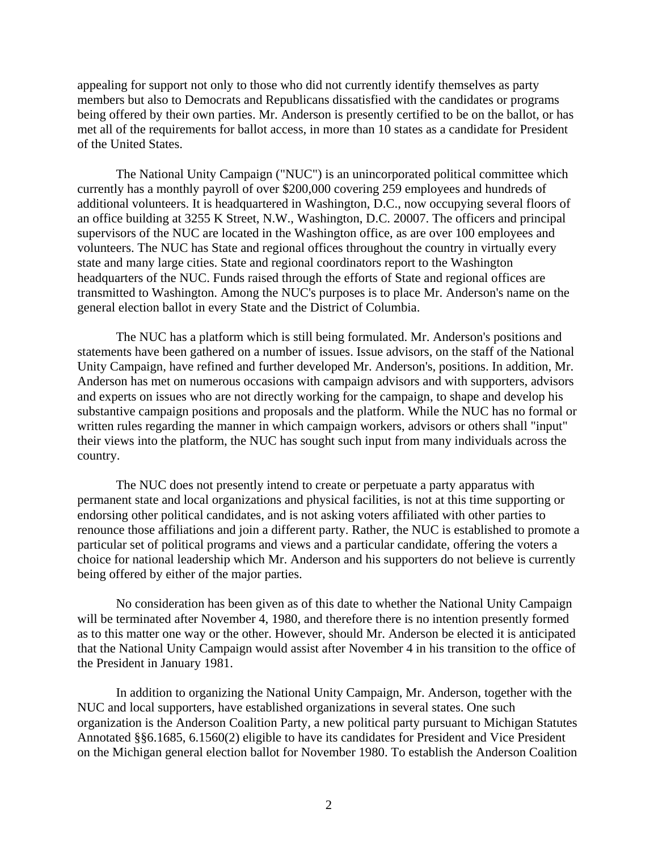appealing for support not only to those who did not currently identify themselves as party members but also to Democrats and Republicans dissatisfied with the candidates or programs being offered by their own parties. Mr. Anderson is presently certified to be on the ballot, or has met all of the requirements for ballot access, in more than 10 states as a candidate for President of the United States.

The National Unity Campaign ("NUC") is an unincorporated political committee which currently has a monthly payroll of over \$200,000 covering 259 employees and hundreds of additional volunteers. It is headquartered in Washington, D.C., now occupying several floors of an office building at 3255 K Street, N.W., Washington, D.C. 20007. The officers and principal supervisors of the NUC are located in the Washington office, as are over 100 employees and volunteers. The NUC has State and regional offices throughout the country in virtually every state and many large cities. State and regional coordinators report to the Washington headquarters of the NUC. Funds raised through the efforts of State and regional offices are transmitted to Washington. Among the NUC's purposes is to place Mr. Anderson's name on the general election ballot in every State and the District of Columbia.

The NUC has a platform which is still being formulated. Mr. Anderson's positions and statements have been gathered on a number of issues. Issue advisors, on the staff of the National Unity Campaign, have refined and further developed Mr. Anderson's, positions. In addition, Mr. Anderson has met on numerous occasions with campaign advisors and with supporters, advisors and experts on issues who are not directly working for the campaign, to shape and develop his substantive campaign positions and proposals and the platform. While the NUC has no formal or written rules regarding the manner in which campaign workers, advisors or others shall "input" their views into the platform, the NUC has sought such input from many individuals across the country.

The NUC does not presently intend to create or perpetuate a party apparatus with permanent state and local organizations and physical facilities, is not at this time supporting or endorsing other political candidates, and is not asking voters affiliated with other parties to renounce those affiliations and join a different party. Rather, the NUC is established to promote a particular set of political programs and views and a particular candidate, offering the voters a choice for national leadership which Mr. Anderson and his supporters do not believe is currently being offered by either of the major parties.

No consideration has been given as of this date to whether the National Unity Campaign will be terminated after November 4, 1980, and therefore there is no intention presently formed as to this matter one way or the other. However, should Mr. Anderson be elected it is anticipated that the National Unity Campaign would assist after November 4 in his transition to the office of the President in January 1981.

In addition to organizing the National Unity Campaign, Mr. Anderson, together with the NUC and local supporters, have established organizations in several states. One such organization is the Anderson Coalition Party, a new political party pursuant to Michigan Statutes Annotated §§6.1685, 6.1560(2) eligible to have its candidates for President and Vice President on the Michigan general election ballot for November 1980. To establish the Anderson Coalition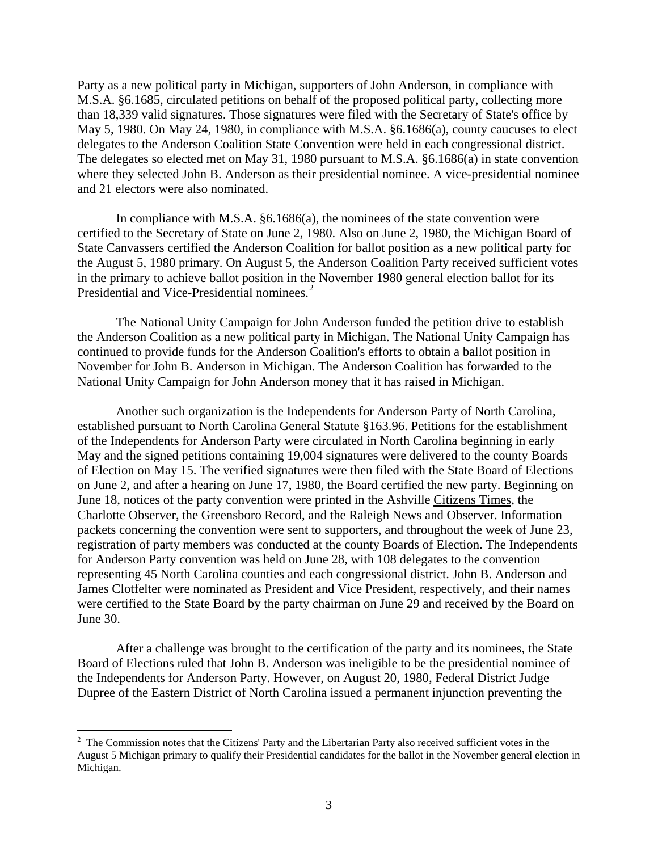Party as a new political party in Michigan, supporters of John Anderson, in compliance with M.S.A. §6.1685, circulated petitions on behalf of the proposed political party, collecting more than 18,339 valid signatures. Those signatures were filed with the Secretary of State's office by May 5, 1980. On May 24, 1980, in compliance with M.S.A. §6.1686(a), county caucuses to elect delegates to the Anderson Coalition State Convention were held in each congressional district. The delegates so elected met on May 31, 1980 pursuant to M.S.A. §6.1686(a) in state convention where they selected John B. Anderson as their presidential nominee. A vice-presidential nominee and 21 electors were also nominated.

In compliance with M.S.A. §6.1686(a), the nominees of the state convention were certified to the Secretary of State on June 2, 1980. Also on June 2, 1980, the Michigan Board of State Canvassers certified the Anderson Coalition for ballot position as a new political party for the August 5, 1980 primary. On August 5, the Anderson Coalition Party received sufficient votes in the primary to achieve ballot position in the November 1980 general election ballot for its Presidential and Vice-Presidential nominees.<sup>[2](#page-2-0)</sup>

The National Unity Campaign for John Anderson funded the petition drive to establish the Anderson Coalition as a new political party in Michigan. The National Unity Campaign has continued to provide funds for the Anderson Coalition's efforts to obtain a ballot position in November for John B. Anderson in Michigan. The Anderson Coalition has forwarded to the National Unity Campaign for John Anderson money that it has raised in Michigan.

Another such organization is the Independents for Anderson Party of North Carolina, established pursuant to North Carolina General Statute §163.96. Petitions for the establishment of the Independents for Anderson Party were circulated in North Carolina beginning in early May and the signed petitions containing 19,004 signatures were delivered to the county Boards of Election on May 15. The verified signatures were then filed with the State Board of Elections on June 2, and after a hearing on June 17, 1980, the Board certified the new party. Beginning on June 18, notices of the party convention were printed in the Ashville Citizens Times, the Charlotte Observer, the Greensboro Record, and the Raleigh News and Observer. Information packets concerning the convention were sent to supporters, and throughout the week of June 23, registration of party members was conducted at the county Boards of Election. The Independents for Anderson Party convention was held on June 28, with 108 delegates to the convention representing 45 North Carolina counties and each congressional district. John B. Anderson and James Clotfelter were nominated as President and Vice President, respectively, and their names were certified to the State Board by the party chairman on June 29 and received by the Board on June 30.

After a challenge was brought to the certification of the party and its nominees, the State Board of Elections ruled that John B. Anderson was ineligible to be the presidential nominee of the Independents for Anderson Party. However, on August 20, 1980, Federal District Judge Dupree of the Eastern District of North Carolina issued a permanent injunction preventing the

1

<span id="page-2-0"></span> $2$  The Commission notes that the Citizens' Party and the Libertarian Party also received sufficient votes in the August 5 Michigan primary to qualify their Presidential candidates for the ballot in the November general election in Michigan.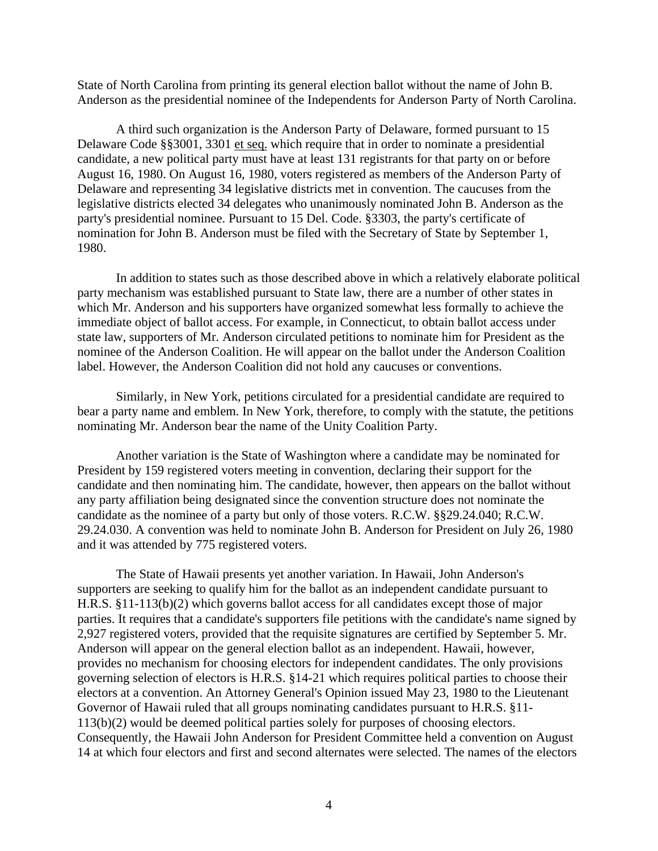State of North Carolina from printing its general election ballot without the name of John B. Anderson as the presidential nominee of the Independents for Anderson Party of North Carolina.

A third such organization is the Anderson Party of Delaware, formed pursuant to 15 Delaware Code §§3001, 3301 et seq. which require that in order to nominate a presidential candidate, a new political party must have at least 131 registrants for that party on or before August 16, 1980. On August 16, 1980, voters registered as members of the Anderson Party of Delaware and representing 34 legislative districts met in convention. The caucuses from the legislative districts elected 34 delegates who unanimously nominated John B. Anderson as the party's presidential nominee. Pursuant to 15 Del. Code. §3303, the party's certificate of nomination for John B. Anderson must be filed with the Secretary of State by September 1, 1980.

In addition to states such as those described above in which a relatively elaborate political party mechanism was established pursuant to State law, there are a number of other states in which Mr. Anderson and his supporters have organized somewhat less formally to achieve the immediate object of ballot access. For example, in Connecticut, to obtain ballot access under state law, supporters of Mr. Anderson circulated petitions to nominate him for President as the nominee of the Anderson Coalition. He will appear on the ballot under the Anderson Coalition label. However, the Anderson Coalition did not hold any caucuses or conventions.

Similarly, in New York, petitions circulated for a presidential candidate are required to bear a party name and emblem. In New York, therefore, to comply with the statute, the petitions nominating Mr. Anderson bear the name of the Unity Coalition Party.

Another variation is the State of Washington where a candidate may be nominated for President by 159 registered voters meeting in convention, declaring their support for the candidate and then nominating him. The candidate, however, then appears on the ballot without any party affiliation being designated since the convention structure does not nominate the candidate as the nominee of a party but only of those voters. R.C.W. §§29.24.040; R.C.W. 29.24.030. A convention was held to nominate John B. Anderson for President on July 26, 1980 and it was attended by 775 registered voters.

The State of Hawaii presents yet another variation. In Hawaii, John Anderson's supporters are seeking to qualify him for the ballot as an independent candidate pursuant to H.R.S. §11-113(b)(2) which governs ballot access for all candidates except those of major parties. It requires that a candidate's supporters file petitions with the candidate's name signed by 2,927 registered voters, provided that the requisite signatures are certified by September 5. Mr. Anderson will appear on the general election ballot as an independent. Hawaii, however, provides no mechanism for choosing electors for independent candidates. The only provisions governing selection of electors is H.R.S. §14-21 which requires political parties to choose their electors at a convention. An Attorney General's Opinion issued May 23, 1980 to the Lieutenant Governor of Hawaii ruled that all groups nominating candidates pursuant to H.R.S. §11- 113(b)(2) would be deemed political parties solely for purposes of choosing electors. Consequently, the Hawaii John Anderson for President Committee held a convention on August 14 at which four electors and first and second alternates were selected. The names of the electors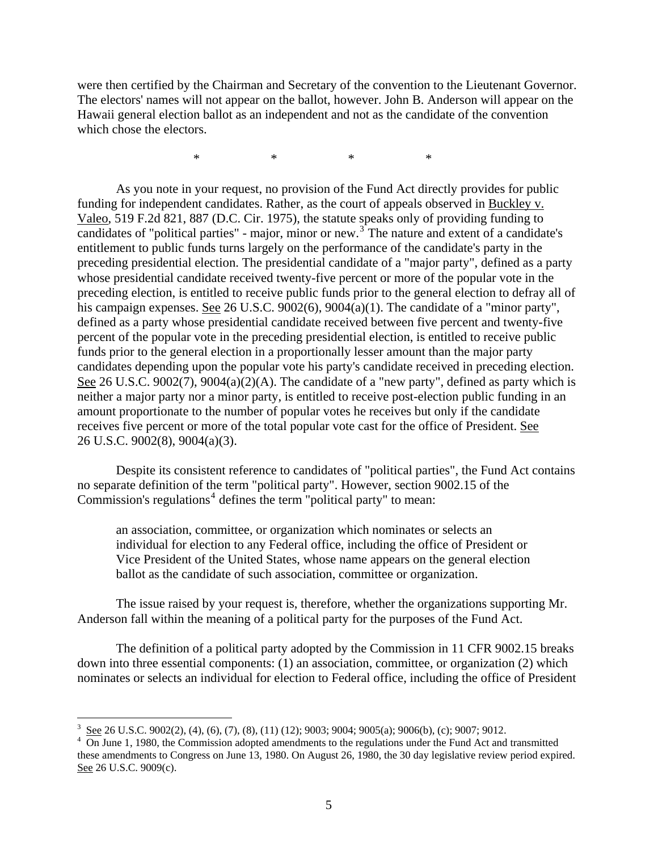were then certified by the Chairman and Secretary of the convention to the Lieutenant Governor. The electors' names will not appear on the ballot, however. John B. Anderson will appear on the Hawaii general election ballot as an independent and not as the candidate of the convention which chose the electors.

\* \* \* \*

As you note in your request, no provision of the Fund Act directly provides for public funding for independent candidates. Rather, as the court of appeals observed in Buckley v. Valeo, 519 F.2d 821, 887 (D.C. Cir. 1975), the statute speaks only of providing funding to candidates of "political parties" - major, minor or new.<sup>[3](#page-4-0)</sup> The nature and extent of a candidate's entitlement to public funds turns largely on the performance of the candidate's party in the preceding presidential election. The presidential candidate of a "major party", defined as a party whose presidential candidate received twenty-five percent or more of the popular vote in the preceding election, is entitled to receive public funds prior to the general election to defray all of his campaign expenses. See 26 U.S.C. 9002(6), 9004(a)(1). The candidate of a "minor party", defined as a party whose presidential candidate received between five percent and twenty-five percent of the popular vote in the preceding presidential election, is entitled to receive public funds prior to the general election in a proportionally lesser amount than the major party candidates depending upon the popular vote his party's candidate received in preceding election. See 26 U.S.C. 9002(7), 9004(a)(2)(A). The candidate of a "new party", defined as party which is neither a major party nor a minor party, is entitled to receive post-election public funding in an amount proportionate to the number of popular votes he receives but only if the candidate receives five percent or more of the total popular vote cast for the office of President. See 26 U.S.C. 9002(8), 9004(a)(3).

Despite its consistent reference to candidates of "political parties", the Fund Act contains no separate definition of the term "political party". However, section 9002.15 of the Commission's regulations<sup>[4](#page-4-1)</sup> defines the term "political party" to mean:

an association, committee, or organization which nominates or selects an individual for election to any Federal office, including the office of President or Vice President of the United States, whose name appears on the general election ballot as the candidate of such association, committee or organization.

The issue raised by your request is, therefore, whether the organizations supporting Mr. Anderson fall within the meaning of a political party for the purposes of the Fund Act.

The definition of a political party adopted by the Commission in 11 CFR 9002.15 breaks down into three essential components: (1) an association, committee, or organization (2) which nominates or selects an individual for election to Federal office, including the office of President

 $\overline{a}$ 

<span id="page-4-0"></span><sup>3</sup> See 26 U.S.C. 9002(2), (4), (6), (7), (8), (11) (12); 9003; 9004; 9005(a); 9006(b), (c); 9007; 9012.

<span id="page-4-1"></span> $\frac{4}{10}$  On June 1, 1980, the Commission adopted amendments to the regulations under the Fund Act and transmitted these amendments to Congress on June 13, 1980. On August 26, 1980, the 30 day legislative review period expired. See 26 U.S.C. 9009(c).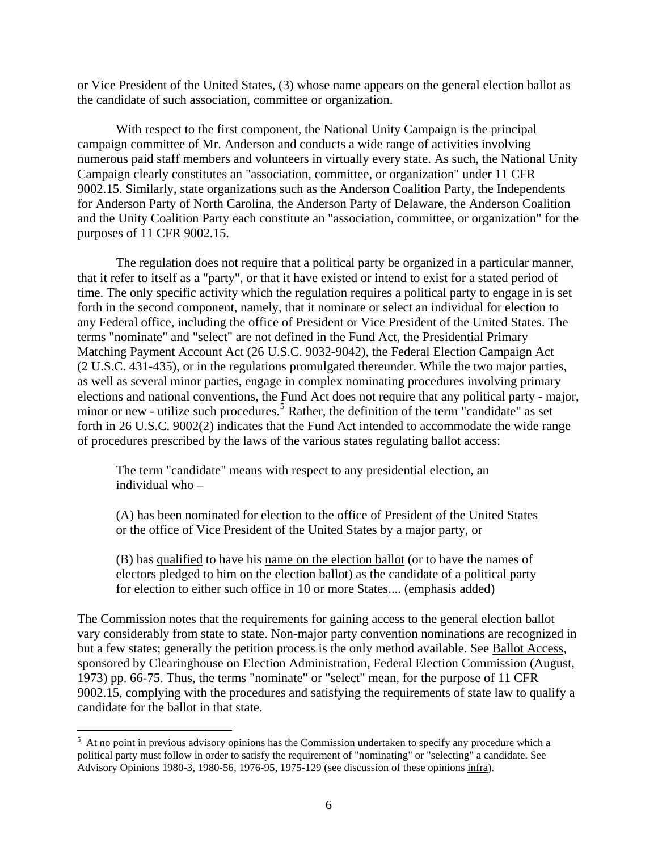or Vice President of the United States, (3) whose name appears on the general election ballot as the candidate of such association, committee or organization.

With respect to the first component, the National Unity Campaign is the principal campaign committee of Mr. Anderson and conducts a wide range of activities involving numerous paid staff members and volunteers in virtually every state. As such, the National Unity Campaign clearly constitutes an "association, committee, or organization" under 11 CFR 9002.15. Similarly, state organizations such as the Anderson Coalition Party, the Independents for Anderson Party of North Carolina, the Anderson Party of Delaware, the Anderson Coalition and the Unity Coalition Party each constitute an "association, committee, or organization" for the purposes of 11 CFR 9002.15.

The regulation does not require that a political party be organized in a particular manner, that it refer to itself as a "party", or that it have existed or intend to exist for a stated period of time. The only specific activity which the regulation requires a political party to engage in is set forth in the second component, namely, that it nominate or select an individual for election to any Federal office, including the office of President or Vice President of the United States. The terms "nominate" and "select" are not defined in the Fund Act, the Presidential Primary Matching Payment Account Act (26 U.S.C. 9032-9042), the Federal Election Campaign Act (2 U.S.C. 431-435), or in the regulations promulgated thereunder. While the two major parties, as well as several minor parties, engage in complex nominating procedures involving primary elections and national conventions, the Fund Act does not require that any political party - major, minor or new - utilize such procedures.<sup>[5](#page-5-0)</sup> Rather, the definition of the term "candidate" as set forth in 26 U.S.C. 9002(2) indicates that the Fund Act intended to accommodate the wide range of procedures prescribed by the laws of the various states regulating ballot acces s:

The term "candidate" means with respect to any presidential election, an individual who –

(A) has been nominated for election to the office of President of the United States or the office of Vice President of the United States by a major party, or

(B) has qualified to have his name on the election ballot (or to have the names of electors pledged to him on the election ballot) as the candidate of a political party for election to either such office in 10 or more States.... (emphasis added)

The Commission notes that the requirements for gaining access to the general election ballot vary considerably from state to state. Non-major party convention nominations are recognized in but a few states; generally the petition process is the only method available. See Ballot Access, sponsored by Clearinghouse on Election Administration, Federal Election Commission (August, 1973) pp. 66-75. Thus, the terms "nominate" or "select" mean, for the purpose of 11 CFR 9002.15, complying with the procedures and satisfying the requirements of state law to qualify a candidate for the ballot in that state.

 $\overline{a}$ 

<span id="page-5-0"></span><sup>&</sup>lt;sup>5</sup> At no point in previous advisory opinions has the Commission undertaken to specify any procedure which a political party must follow in order to satisfy the requirement of "nominating" or "selecting" a candidate. See Advisory Opinions 1980-3, 1980-56, 1976-95, 1975-129 (see discussion of these opinions infra).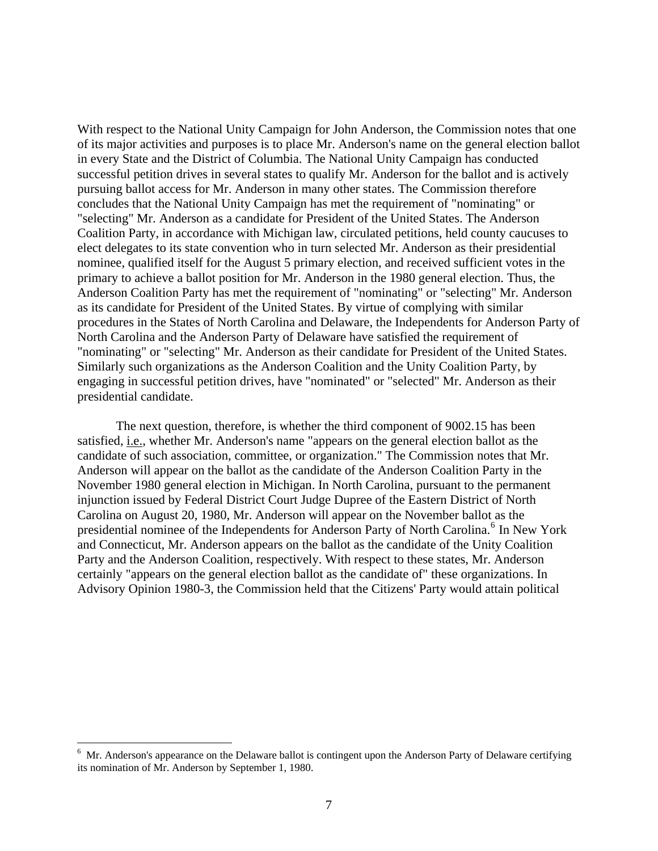With respect to the National Unity Campaign for John Anderson, the Commission notes that one of its major activities and purposes is to place Mr. Anderson's name on the general election ballot in every State and the District of Columbia. The National Unity Campaign has conducted successful petition drives in several states to qualify Mr. Anderson for the ballot and is actively pursuing ballot access for Mr. Anderson in many other states. The Commission therefore concludes that the National Unity Campaign has met the requirement of "nominating" or "selecting" Mr. Anderson as a candidate for President of the United States. The Anderson Coalition Party, in accordance with Michigan law, circulated petitions, held county caucuses to elect delegates to its state convention who in turn selected Mr. Anderson as their presidential nominee, qualified itself for the August 5 primary election, and received sufficient votes in the primary to achieve a ballot position for Mr. Anderson in the 1980 general election. Thus, the Anderson Coalition Party has met the requirement of "nominating" or "selecting" Mr. Anderson as its candidate for President of the United States. By virtue of complying with similar procedures in the States of North Carolina and Delaware, the Independents for Anderson Party of North Carolina and the Anderson Party of Delaware have satisfied the requirement of "nominating" or "selecting" Mr. Anderson as their candidate for President of the United States. Similarly such organizations as the Anderson Coalition and the Unity Coalition Party, by engaging in successful petition drives, have "nominated" or "selected" Mr. Anderson as their presidential candidate.

The next question, therefore, is whether the third component of 9002.15 has been satisfied, i.e., whether Mr. Anderson's name "appears on the general election ballot as the candidate of such association, committee, or organization." The Commission notes that Mr. Anderson will appear on the ballot as the candidate of the Anderson Coalition Party in the November 1980 general election in Michigan. In North Carolina, pursuant to the permanent injunction issued by Federal District Court Judge Dupree of the Eastern District of North Carolina on August 20, 1980, Mr. Anderson will appear on the November ballot as the presidential nominee of the Independents for Anderson Party of North Carolina.<sup>[6](#page-6-0)</sup> In New York and Connecticut, Mr. Anderson appears on the ballot as the candidate of the Unity Coalition Party and the Anderson Coalition, respectively. With respect to these states, Mr. Anderson certainly "appears on the general election ballot as the candidate of" these organizations. In Advisory Opinion 1980-3, the Commission held that the Citizens' Party would attain political

1

<span id="page-6-0"></span><sup>&</sup>lt;sup>6</sup> Mr. Anderson's appearance on the Delaware ballot is contingent upon the Anderson Party of Delaware certifying its nomination of Mr. Anderson by September 1, 1980.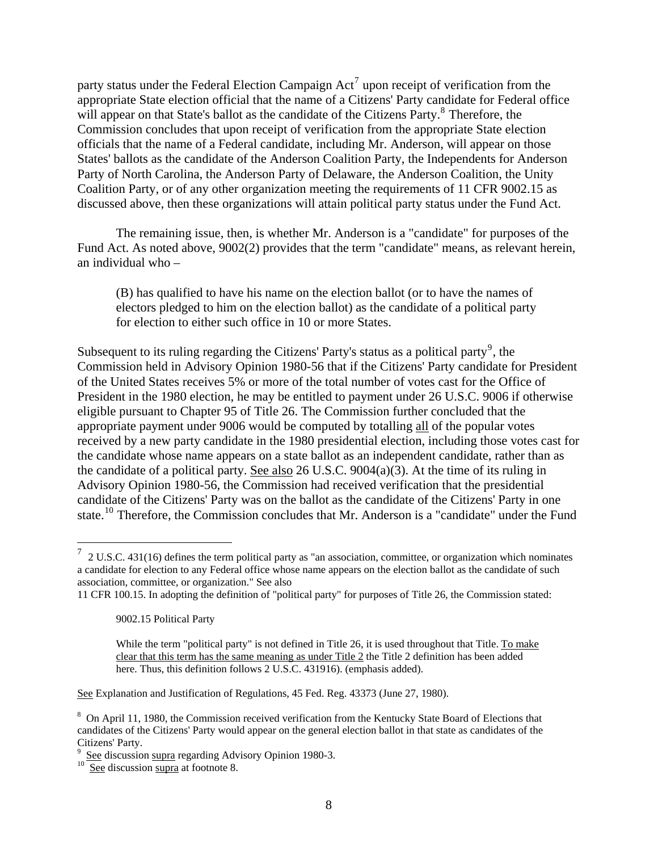party status under the Federal Election Campaign  $Act^7$  $Act^7$  upon receipt of verification from the appropriate State election official that the name of a Citizens' Party candidate for Federal office will appear on that State's ballot as the candidate of the Citizens Party.<sup>[8](#page-7-1)</sup> Therefore, the Commission concludes that upon receipt of verification from the appropriate State election officials that the name of a Federal candidate, including Mr. Anderson, will appear on those States' ballots as the candidate of the Anderson Coalition Party, the Independents for Anderson Party of North Carolina, the Anderson Party of Delaware, the Anderson Coalition, the Unity Coalition Party, or of any other organization meeting the requirements of 11 CFR 9002.15 as discussed above, then these organizations will attain political party status under the Fund Act.

The remaining issue, then, is whether Mr. Anderson is a "candidate" for purposes of the Fund Act. As noted above, 9002(2) provides that the term "candidate" means, as relevant herein, an individual who –

(B) has qualified to have his name on the election ballot (or to have the names of electors pledged to him on the election ballot) as the candidate of a political party for election to either such office in 10 or more States.

Subsequent to its ruling regarding the Citizens' Party's status as a political party<sup>[9](#page-7-2)</sup>, the Commission held in Advisory Opinion 1980-56 that if the Citizens' Party candidate for President of the United States receives 5% or more of the total number of votes cast for the Office of President in the 1980 election, he may be entitled to payment under 26 U.S.C. 9006 if otherwise eligible pursuant to Chapter 95 of Title 26. The Commission further concluded that the appropriate payment under 9006 would be computed by totalling all of the popular votes received by a new party candidate in the 1980 presidential election, including those votes cast for the candidate whose name appears on a state ballot as an independent candidate, rather than as the candidate of a political party. See also 26 U.S.C. 9004(a)(3). At the time of its ruling in Advisory Opinion 1980-56, the Commission had received verification that the presidential candidate of the Citizens' Party was on the ballot as the candidate of the Citizens' Party in one state.<sup>[10](#page-7-3)</sup> Therefore, the Commission concludes that Mr. Anderson is a "candidate" under the Fund

 $\overline{a}$ 

See Explanation and Justification of Regulations, 45 Fed. Reg. 43373 (June 27, 1980).

<span id="page-7-0"></span><sup>7</sup> 2 U.S.C. 431(16) defines the term political party as "an association, committee, or organization which nominates a candidate for election to any Federal office whose name appears on the election ballot as the candidate of such association, committee, or organization." See also

<sup>11</sup> CFR 100.15. In adopting the definition of "political party" for purposes of Title 26, the Commission stated:

<sup>9002.15</sup> Political Party

While the term "political party" is not defined in Title 26, it is used throughout that Title. To make clear that this term has the same meaning as under Title 2 the Title 2 definition has been added here. Thus, this definition follows 2 U.S.C. 431916). (emphasis added).

<span id="page-7-1"></span><sup>&</sup>lt;sup>8</sup> On April 11, 1980, the Commission received verification from the Kentucky State Board of Elections that candidates of the Citizens' Party would appear on the general election ballot in that state as candidates of the Citizens' Party.

<span id="page-7-2"></span><sup>9</sup> See discussion supra regarding Advisory Opinion 1980-3.<br>
<u>See</u> discussion supra at footnote 8.

<span id="page-7-3"></span>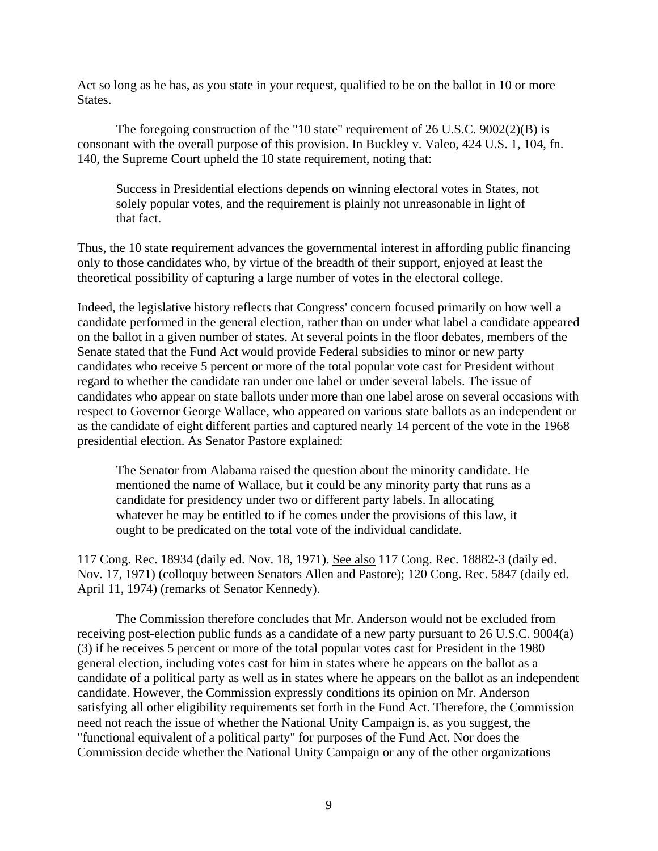Act so long as he has, as you state in your request, qualified to be on the ballot in 10 or more States.

The foregoing construction of the "10 state" requirement of 26 U.S.C. 9002(2)(B) is consonant with the overall purpose of this provision. In Buckley v. Valeo, 424 U.S. 1, 104, fn. 140, the Supreme Court upheld the 10 state requirement, noting that:

Success in Presidential elections depends on winning electoral votes in States, not solely popular votes, and the requirement is plainly not unreasonable in light of that fact.

Thus, the 10 state requirement advances the governmental interest in affording public financing only to those candidates who, by virtue of the breadth of their support, enjoyed at least the theoretical possibility of capturing a large number of votes in the electoral college.

Indeed, the legislative history reflects that Congress' concern focused primarily on how well a candidate performed in the general election, rather than on under what label a candidate appeared on the ballot in a given number of states. At several points in the floor debates, members of the Senate stated that the Fund Act would provide Federal subsidies to minor or new party candidates who receive 5 percent or more of the total popular vote cast for President without regard to whether the candidate ran under one label or under several labels. The issue of candidates who appear on state ballots under more than one label arose on several occasions with respect to Governor George Wallace, who appeared on various state ballots as an independent or as the candidate of eight different parties and captured nearly 14 percent of the vote in the 1968 presidential election. As Senator Pastore explained:

The Senator from Alabama raised the question about the minority candidate. He mentioned the name of Wallace, but it could be any minority party that runs as a candidate for presidency under two or different party labels. In allocating whatever he may be entitled to if he comes under the provisions of this law, it ought to be predicated on the total vote of the individual candidate.

117 Cong. Rec. 18934 (daily ed. Nov. 18, 1971). See also 117 Cong. Rec. 18882-3 (daily ed. Nov. 17, 1971) (colloquy between Senators Allen and Pastore); 120 Cong. Rec. 5847 (daily ed. April 11, 1974) (remarks of Senator Kennedy).

The Commission therefore concludes that Mr. Anderson would not be excluded from receiving post-election public funds as a candidate of a new party pursuant to 26 U.S.C. 9004(a) (3) if he receives 5 percent or more of the total popular votes cast for President in the 1980 general election, including votes cast for him in states where he appears on the ballot as a candidate of a political party as well as in states where he appears on the ballot as an independent candidate. However, the Commission expressly conditions its opinion on Mr. Anderson satisfying all other eligibility requirements set forth in the Fund Act. Therefore, the Commission need not reach the issue of whether the National Unity Campaign is, as you suggest, the "functional equivalent of a political party" for purposes of the Fund Act. Nor does the Commission decide whether the National Unity Campaign or any of the other organizations